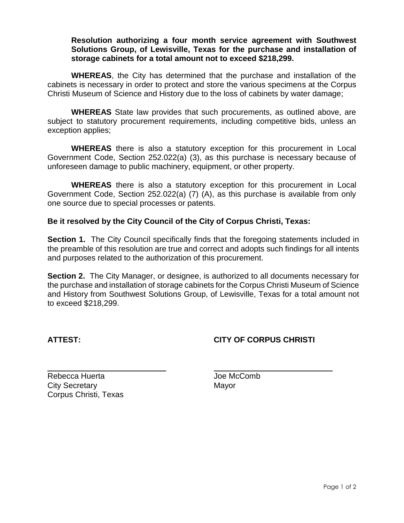## **Resolution authorizing a four month service agreement with Southwest Solutions Group, of Lewisville, Texas for the purchase and installation of storage cabinets for a total amount not to exceed \$218,299.**

**WHEREAS**, the City has determined that the purchase and installation of the cabinets is necessary in order to protect and store the various specimens at the Corpus Christi Museum of Science and History due to the loss of cabinets by water damage;

**WHEREAS** State law provides that such procurements, as outlined above, are subject to statutory procurement requirements, including competitive bids, unless an exception applies;

**WHEREAS** there is also a statutory exception for this procurement in Local Government Code, Section 252.022(a) (3), as this purchase is necessary because of unforeseen damage to public machinery, equipment, or other property.

**WHEREAS** there is also a statutory exception for this procurement in Local Government Code, Section 252.022(a) (7) (A), as this purchase is available from only one source due to special processes or patents.

## **Be it resolved by the City Council of the City of Corpus Christi, Texas:**

**Section 1.** The City Council specifically finds that the foregoing statements included in the preamble of this resolution are true and correct and adopts such findings for all intents and purposes related to the authorization of this procurement.

**Section 2.** The City Manager, or designee, is authorized to all documents necessary for the purchase and installation of storage cabinets for the Corpus Christi Museum of Science and History from Southwest Solutions Group, of Lewisville, Texas for a total amount not to exceed \$218,299.

## **ATTEST: CITY OF CORPUS CHRISTI**

Rebecca Huerta **International Computer Computer** Joe McComb City Secretary **Mayor** Mayor Corpus Christi, Texas